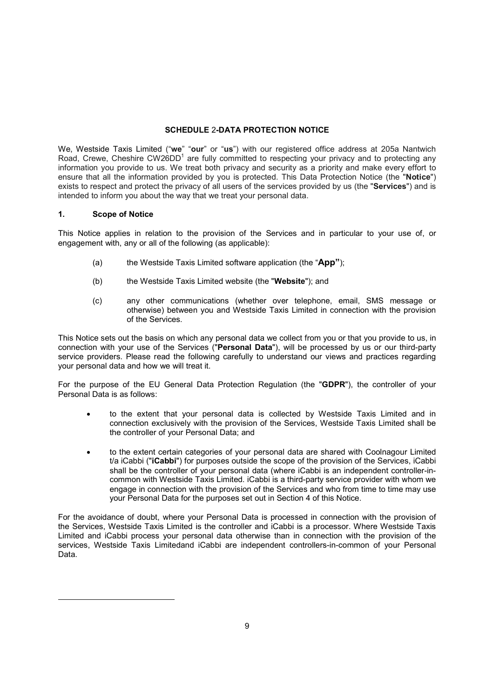### SCHEDULE 2-DATA PROTECTION NOTICE

We, Westside Taxis Limited ("**we**" "**our**" or "**us**") with our registered office address at 205a Nantwich Road, Crewe, Cheshire CW26DD<sup>1</sup> are fully committed to respecting your privacy and to protecting any information you provide to us. We treat both privacy and security as a priority and make every effort to ensure that all the information provided by you is protected. This Data Protection Notice (the "Notice") exists to respect and protect the privacy of all users of the services provided by us (the "Services") and is intended to inform you about the way that we treat your personal data.

### 1. Scope of Notice

1

This Notice applies in relation to the provision of the Services and in particular to your use of, or engagement with, any or all of the following (as applicable):

- (a) the Westside Taxis Limited software application (the " $\mathbf{App}$ ");
- (b) the Westside Taxis Limited website (the "Website"); and
- (c) any other communications (whether over telephone, email, SMS message or otherwise) between you and Westside Taxis Limited in connection with the provision of the Services.

This Notice sets out the basis on which any personal data we collect from you or that you provide to us, in connection with your use of the Services ("Personal Data"), will be processed by us or our third-party service providers. Please read the following carefully to understand our views and practices regarding your personal data and how we will treat it.

For the purpose of the EU General Data Protection Regulation (the "GDPR"), the controller of your Personal Data is as follows:

- to the extent that your personal data is collected by Westside Taxis Limited and in connection exclusively with the provision of the Services, Westside Taxis Limited shall be the controller of your Personal Data; and
- to the extent certain categories of your personal data are shared with Coolnagour Limited t/a iCabbi ("iCabbi") for purposes outside the scope of the provision of the Services, iCabbi shall be the controller of your personal data (where iCabbi is an independent controller-incommon with Westside Taxis Limited. iCabbi is a third-party service provider with whom we engage in connection with the provision of the Services and who from time to time may use your Personal Data for the purposes set out in Section 4 of this Notice.

For the avoidance of doubt, where your Personal Data is processed in connection with the provision of the Services, Westside Taxis Limited is the controller and iCabbi is a processor. Where Westside Taxis Limited and iCabbi process your personal data otherwise than in connection with the provision of the services, Westside Taxis Limitedand iCabbi are independent controllers-in-common of your Personal Data.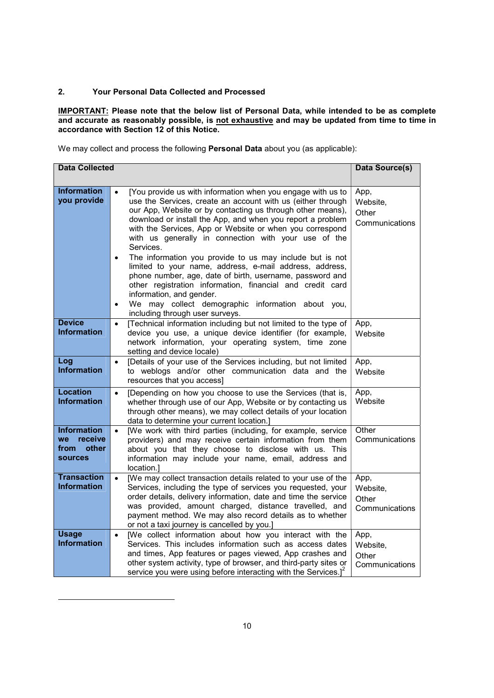# 2. Your Personal Data Collected and Processed

**IMPORTANT:** Please note that the below list of Personal Data, while intended to be as complete and accurate as reasonably possible, is <u>not exhaustive</u> and may be updated from time to time in accordance with Section 12 of this Notice.

We may collect and process the following Personal Data about you (as applicable):

| <b>Data Collected</b>                                                         |                                                                                                                                                                                                                                                                                                                                                                                                                                                                                                                                                                                                                                                                                                                                                                                                    | <b>Data Source(s)</b>                       |
|-------------------------------------------------------------------------------|----------------------------------------------------------------------------------------------------------------------------------------------------------------------------------------------------------------------------------------------------------------------------------------------------------------------------------------------------------------------------------------------------------------------------------------------------------------------------------------------------------------------------------------------------------------------------------------------------------------------------------------------------------------------------------------------------------------------------------------------------------------------------------------------------|---------------------------------------------|
| <b>Information</b><br>you provide                                             | [You provide us with information when you engage with us to<br>$\bullet$<br>use the Services, create an account with us (either through<br>our App, Website or by contacting us through other means),<br>download or install the App, and when you report a problem<br>with the Services, App or Website or when you correspond<br>with us generally in connection with your use of the<br>Services.<br>The information you provide to us may include but is not<br>$\bullet$<br>limited to your name, address, e-mail address, address,<br>phone number, age, date of birth, username, password and<br>other registration information, financial and credit card<br>information, and gender.<br>We may collect demographic information about you,<br>$\bullet$<br>including through user surveys. | App,<br>Website,<br>Other<br>Communications |
| <b>Device</b><br><b>Information</b>                                           | [Technical information including but not limited to the type of<br>$\bullet$<br>device you use, a unique device identifier (for example,<br>network information, your operating system, time zone<br>setting and device locale)                                                                                                                                                                                                                                                                                                                                                                                                                                                                                                                                                                    | App,<br>Website                             |
| Log<br><b>Information</b>                                                     | [Details of your use of the Services including, but not limited<br>$\bullet$<br>to weblogs and/or other communication data and the<br>resources that you access]                                                                                                                                                                                                                                                                                                                                                                                                                                                                                                                                                                                                                                   | App,<br>Website                             |
| <b>Location</b><br><b>Information</b>                                         | [Depending on how you choose to use the Services (that is,<br>$\bullet$<br>whether through use of our App, Website or by contacting us<br>through other means), we may collect details of your location<br>data to determine your current location.]                                                                                                                                                                                                                                                                                                                                                                                                                                                                                                                                               | App,<br>Website                             |
| <b>Information</b><br>receive<br><b>we</b><br>other<br>from<br><b>sources</b> | [We work with third parties (including, for example, service<br>$\bullet$<br>providers) and may receive certain information from them<br>about you that they choose to disclose with us. This<br>information may include your name, email, address and<br>location.1                                                                                                                                                                                                                                                                                                                                                                                                                                                                                                                               | Other<br>Communications                     |
| <b>Transaction</b><br><b>Information</b>                                      | [We may collect transaction details related to your use of the<br>$\bullet$<br>Services, including the type of services you requested, your<br>order details, delivery information, date and time the service<br>was provided, amount charged, distance travelled, and<br>payment method. We may also record details as to whether<br>or not a taxi journey is cancelled by you.]                                                                                                                                                                                                                                                                                                                                                                                                                  | App,<br>Website,<br>Other<br>Communications |
| <b>Usage</b><br><b>Information</b>                                            | [We collect information about how you interact with the<br>$\bullet$<br>Services. This includes information such as access dates<br>and times, App features or pages viewed, App crashes and<br>other system activity, type of browser, and third-party sites or<br>service you were using before interacting with the Services.] <sup>2</sup>                                                                                                                                                                                                                                                                                                                                                                                                                                                     | App,<br>Website,<br>Other<br>Communications |

1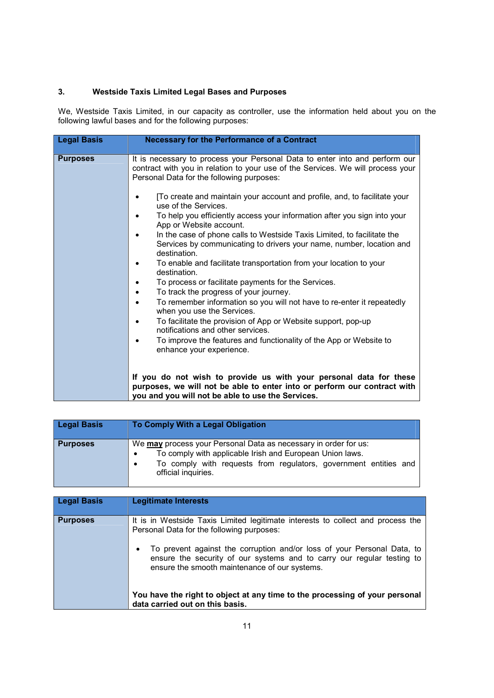# 3. Westside Taxis Limited Legal Bases and Purposes

We, Westside Taxis Limited, in our capacity as controller, use the information held about you on the following lawful bases and for the following purposes:

| <b>Legal Basis</b> | <b>Necessary for the Performance of a Contract</b>                                                                                                                                                                                                                                                                                                                                                                                                                                                                                                                                                                                                                                                                                                                                                                                                                                                                                                                                                                                                                                                             |
|--------------------|----------------------------------------------------------------------------------------------------------------------------------------------------------------------------------------------------------------------------------------------------------------------------------------------------------------------------------------------------------------------------------------------------------------------------------------------------------------------------------------------------------------------------------------------------------------------------------------------------------------------------------------------------------------------------------------------------------------------------------------------------------------------------------------------------------------------------------------------------------------------------------------------------------------------------------------------------------------------------------------------------------------------------------------------------------------------------------------------------------------|
| <b>Purposes</b>    | It is necessary to process your Personal Data to enter into and perform our<br>contract with you in relation to your use of the Services. We will process your<br>Personal Data for the following purposes:<br>[To create and maintain your account and profile, and, to facilitate your<br>use of the Services.<br>To help you efficiently access your information after you sign into your<br>App or Website account.<br>In the case of phone calls to Westside Taxis Limited, to facilitate the<br>Services by communicating to drivers your name, number, location and<br>destination.<br>To enable and facilitate transportation from your location to your<br>destination.<br>To process or facilitate payments for the Services.<br>To track the progress of your journey.<br>$\bullet$<br>To remember information so you will not have to re-enter it repeatedly<br>when you use the Services.<br>To facilitate the provision of App or Website support, pop-up<br>notifications and other services.<br>To improve the features and functionality of the App or Website to<br>enhance your experience. |
|                    | If you do not wish to provide us with your personal data for these<br>purposes, we will not be able to enter into or perform our contract with<br>you and you will not be able to use the Services.                                                                                                                                                                                                                                                                                                                                                                                                                                                                                                                                                                                                                                                                                                                                                                                                                                                                                                            |

| <b>Legal Basis</b> | To Comply With a Legal Obligation                                                                                                                                                                                                   |
|--------------------|-------------------------------------------------------------------------------------------------------------------------------------------------------------------------------------------------------------------------------------|
| <b>Purposes</b>    | We may process your Personal Data as necessary in order for us:<br>To comply with applicable Irish and European Union laws.<br>To comply with requests from regulators, government entities and<br>$\bullet$<br>official inquiries. |

| <b>Legal Basis</b> | <b>Legitimate Interests</b>                                                                                                                                                                                                                                                                                                                                                                                                                          |
|--------------------|------------------------------------------------------------------------------------------------------------------------------------------------------------------------------------------------------------------------------------------------------------------------------------------------------------------------------------------------------------------------------------------------------------------------------------------------------|
| <b>Purposes</b>    | It is in Westside Taxis Limited legitimate interests to collect and process the<br>Personal Data for the following purposes:<br>To prevent against the corruption and/or loss of your Personal Data, to<br>ensure the security of our systems and to carry our regular testing to<br>ensure the smooth maintenance of our systems.<br>You have the right to object at any time to the processing of your personal<br>data carried out on this basis. |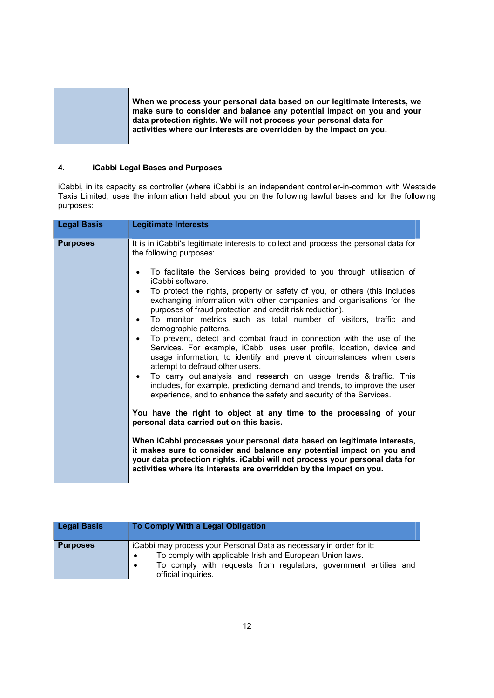| When we process your personal data based on our legitimate interests, we<br>make sure to consider and balance any potential impact on you and your<br>data protection rights. We will not process your personal data for |
|--------------------------------------------------------------------------------------------------------------------------------------------------------------------------------------------------------------------------|
| activities where our interests are overridden by the impact on you.                                                                                                                                                      |

## 4. iCabbi Legal Bases and Purposes

iCabbi, in its capacity as controller (where iCabbi is an independent controller-in-common with Westside Taxis Limited, uses the information held about you on the following lawful bases and for the following purposes:

| <b>Purposes</b><br>It is in iCabbi's legitimate interests to collect and process the personal data for<br>the following purposes:<br>To facilitate the Services being provided to you through utilisation of<br>iCabbi software.<br>To protect the rights, property or safety of you, or others (this includes<br>exchanging information with other companies and organisations for the<br>purposes of fraud protection and credit risk reduction).<br>To monitor metrics such as total number of visitors, traffic and<br>demographic patterns.<br>To prevent, detect and combat fraud in connection with the use of the<br>Services. For example, iCabbi uses user profile, location, device and<br>usage information, to identify and prevent circumstances when users | <b>Legal Basis</b> | <b>Legitimate Interests</b>     |
|---------------------------------------------------------------------------------------------------------------------------------------------------------------------------------------------------------------------------------------------------------------------------------------------------------------------------------------------------------------------------------------------------------------------------------------------------------------------------------------------------------------------------------------------------------------------------------------------------------------------------------------------------------------------------------------------------------------------------------------------------------------------------|--------------------|---------------------------------|
| To carry out analysis and research on usage trends & traffic. This<br>$\bullet$<br>includes, for example, predicting demand and trends, to improve the user<br>experience, and to enhance the safety and security of the Services.<br>You have the right to object at any time to the processing of your<br>personal data carried out on this basis.<br>When iCabbi processes your personal data based on legitimate interests,<br>it makes sure to consider and balance any potential impact on you and<br>your data protection rights. iCabbi will not process your personal data for<br>activities where its interests are overridden by the impact on you.                                                                                                            |                    | attempt to defraud other users. |

| <b>Legal Basis</b> | To Comply With a Legal Obligation                                                                                                                                                                                                                    |
|--------------------|------------------------------------------------------------------------------------------------------------------------------------------------------------------------------------------------------------------------------------------------------|
| <b>Purposes</b>    | iCabbi may process your Personal Data as necessary in order for it:<br>To comply with applicable Irish and European Union laws.<br>$\bullet$<br>To comply with requests from regulators, government entities and<br>$\bullet$<br>official inquiries. |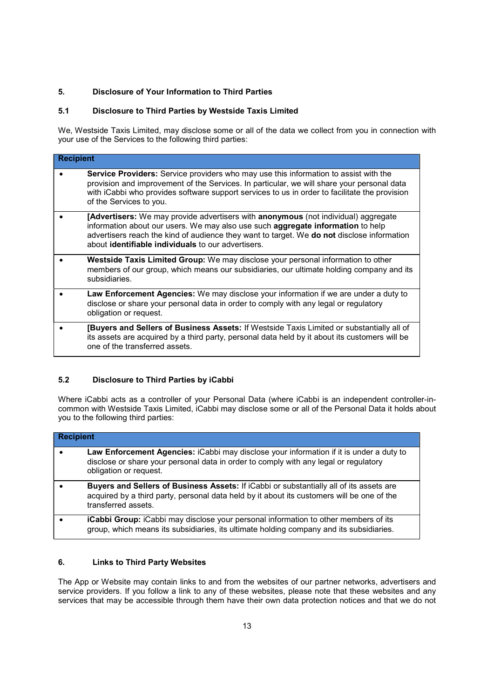# 5. Disclosure of Your Information to Third Parties

### 5.1 Disclosure to Third Parties by Westside Taxis Limited

We, Westside Taxis Limited, may disclose some or all of the data we collect from you in connection with your use of the Services to the following third parties:

| <b>Recipient</b> |                                                                                                                                                                                                                                                                                                                                  |
|------------------|----------------------------------------------------------------------------------------------------------------------------------------------------------------------------------------------------------------------------------------------------------------------------------------------------------------------------------|
|                  | Service Providers: Service providers who may use this information to assist with the<br>provision and improvement of the Services. In particular, we will share your personal data<br>with iCabbi who provides software support services to us in order to facilitate the provision<br>of the Services to you.                   |
|                  | [Advertisers: We may provide advertisers with anonymous (not individual) aggregate<br>information about our users. We may also use such aggregate information to help<br>advertisers reach the kind of audience they want to target. We do not disclose information<br>about <b>identifiable individuals</b> to our advertisers. |
|                  | Westside Taxis Limited Group: We may disclose your personal information to other<br>members of our group, which means our subsidiaries, our ultimate holding company and its<br>subsidiaries.                                                                                                                                    |
|                  | Law Enforcement Agencies: We may disclose your information if we are under a duty to<br>disclose or share your personal data in order to comply with any legal or regulatory<br>obligation or request.                                                                                                                           |
|                  | [Buyers and Sellers of Business Assets: If Westside Taxis Limited or substantially all of<br>its assets are acquired by a third party, personal data held by it about its customers will be<br>one of the transferred assets.                                                                                                    |

# 5.2 Disclosure to Third Parties by iCabbi

Where iCabbi acts as a controller of your Personal Data (where iCabbi is an independent controller-incommon with Westside Taxis Limited, iCabbi may disclose some or all of the Personal Data it holds about you to the following third parties:

| <b>Recipient</b> |                                                                                                                                                                                                              |
|------------------|--------------------------------------------------------------------------------------------------------------------------------------------------------------------------------------------------------------|
|                  | Law Enforcement Agencies: iCabbi may disclose your information if it is under a duty to<br>disclose or share your personal data in order to comply with any legal or regulatory<br>obligation or request.    |
|                  | Buyers and Sellers of Business Assets: If iCabbi or substantially all of its assets are<br>acquired by a third party, personal data held by it about its customers will be one of the<br>transferred assets. |
|                  | <b>iCabbi Group:</b> iCabbi may disclose your personal information to other members of its<br>group, which means its subsidiaries, its ultimate holding company and its subsidiaries.                        |

# 6. Links to Third Party Websites

The App or Website may contain links to and from the websites of our partner networks, advertisers and service providers. If you follow a link to any of these websites, please note that these websites and any services that may be accessible through them have their own data protection notices and that we do not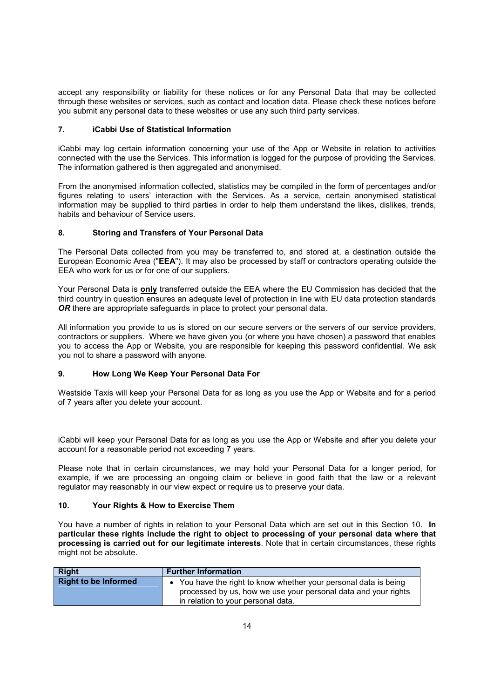accept any responsibility or liability for these notices or for any Personal Data that may be collected through these websites or services, such as contact and location data. Please check these notices before you submit any personal data to these websites or use any such third party services.

### 7. iCabbi Use of Statistical Information

iCabbi may log certain information concerning your use of the App or Website in relation to activities connected with the use the Services. This information is logged for the purpose of providing the Services. The information gathered is then aggregated and anonymised.

From the anonymised information collected, statistics may be compiled in the form of percentages and/or figures relating to users' interaction with the Services. As a service, certain anonymised statistical information may be supplied to third parties in order to help them understand the likes, dislikes, trends, habits and behaviour of Service users.

### 8. Storing and Transfers of Your Personal Data

The Personal Data collected from you may be transferred to, and stored at, a destination outside the European Economic Area ("EEA"). It may also be processed by staff or contractors operating outside the EEA who work for us or for one of our suppliers.

Your Personal Data is only transferred outside the EEA where the EU Commission has decided that the third country in question ensures an adequate level of protection in line with EU data protection standards OR there are appropriate safeguards in place to protect your personal data.

All information you provide to us is stored on our secure servers or the servers of our service providers, contractors or suppliers. Where we have given you (or where you have chosen) a password that enables you to access the App or Website, you are responsible for keeping this password confidential. We ask you not to share a password with anyone.

# 9. How Long We Keep Your Personal Data For

Westside Taxis will keep your Personal Data for as long as you use the App or Website and for a period of 7 years after you delete your account.

iCabbi will keep your Personal Data for as long as you use the App or Website and after you delete your account for a reasonable period not exceeding 7 years.

Please note that in certain circumstances, we may hold your Personal Data for a longer period, for example, if we are processing an ongoing claim or believe in good faith that the law or a relevant regulator may reasonably in our view expect or require us to preserve your data.

### 10. Your Rights & How to Exercise Them

You have a number of rights in relation to your Personal Data which are set out in this Section 10. In particular these rights include the right to object to processing of your personal data where that processing is carried out for our legitimate interests. Note that in certain circumstances, these rights might not be absolute.

| <b>Right</b>                | <b>Further Information</b>                                                                                                                                               |
|-----------------------------|--------------------------------------------------------------------------------------------------------------------------------------------------------------------------|
| <b>Right to be Informed</b> | • You have the right to know whether your personal data is being<br>processed by us, how we use your personal data and your rights<br>in relation to your personal data. |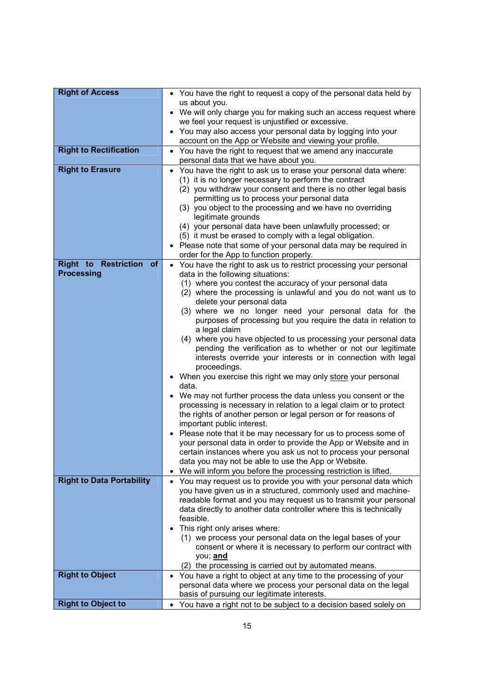| <b>Right of Access</b>                                        | • You have the right to request a copy of the personal data held by                                                                    |
|---------------------------------------------------------------|----------------------------------------------------------------------------------------------------------------------------------------|
|                                                               | us about you.                                                                                                                          |
|                                                               | • We will only charge you for making such an access request where<br>we feel your request is unjustified or excessive.                 |
|                                                               | • You may also access your personal data by logging into your                                                                          |
|                                                               | account on the App or Website and viewing your profile.                                                                                |
| <b>Right to Rectification</b>                                 | You have the right to request that we amend any inaccurate<br>$\bullet$<br>personal data that we have about you.                       |
| <b>Right to Erasure</b>                                       | You have the right to ask us to erase your personal data where:<br>$\bullet$                                                           |
|                                                               | (1) it is no longer necessary to perform the contract                                                                                  |
|                                                               | (2) you withdraw your consent and there is no other legal basis                                                                        |
|                                                               | permitting us to process your personal data<br>(3) you object to the processing and we have no overriding                              |
|                                                               | legitimate grounds                                                                                                                     |
|                                                               | (4) your personal data have been unlawfully processed; or                                                                              |
|                                                               | (5) it must be erased to comply with a legal obligation.<br>• Please note that some of your personal data may be required in           |
|                                                               | order for the App to function properly.                                                                                                |
| <b>Right to Restriction</b><br><b>of</b><br><b>Processing</b> | • You have the right to ask us to restrict processing your personal                                                                    |
|                                                               | data in the following situations:<br>(1) where you contest the accuracy of your personal data                                          |
|                                                               | (2) where the processing is unlawful and you do not want us to                                                                         |
|                                                               | delete your personal data                                                                                                              |
|                                                               | (3) where we no longer need your personal data for the<br>purposes of processing but you require the data in relation to               |
|                                                               | a legal claim                                                                                                                          |
|                                                               | (4) where you have objected to us processing your personal data                                                                        |
|                                                               | pending the verification as to whether or not our legitimate<br>interests override your interests or in connection with legal          |
|                                                               | proceedings.                                                                                                                           |
|                                                               | • When you exercise this right we may only store your personal<br>data.                                                                |
|                                                               | • We may not further process the data unless you consent or the                                                                        |
|                                                               | processing is necessary in relation to a legal claim or to protect                                                                     |
|                                                               | the rights of another person or legal person or for reasons of<br>important public interest.                                           |
|                                                               | • Please note that it be may necessary for us to process some of                                                                       |
|                                                               | your personal data in order to provide the App or Website and in                                                                       |
|                                                               | certain instances where you ask us not to process your personal                                                                        |
|                                                               | data you may not be able to use the App or Website.<br>We will inform you before the processing restriction is lifted.                 |
| <b>Right to Data Portability</b>                              | You may request us to provide you with your personal data which<br>$\bullet$                                                           |
|                                                               | you have given us in a structured, commonly used and machine-                                                                          |
|                                                               | readable format and you may request us to transmit your personal<br>data directly to another data controller where this is technically |
|                                                               | feasible.                                                                                                                              |
|                                                               | This right only arises where:                                                                                                          |
|                                                               | (1) we process your personal data on the legal bases of your                                                                           |
|                                                               | consent or where it is necessary to perform our contract with<br>you; and                                                              |
|                                                               | (2) the processing is carried out by automated means.                                                                                  |
| <b>Right to Object</b>                                        | You have a right to object at any time to the processing of your<br>$\bullet$                                                          |
|                                                               | personal data where we process your personal data on the legal                                                                         |
| <b>Right to Object to</b>                                     | basis of pursuing our legitimate interests.<br>You have a right not to be subject to a decision based solely on                        |
|                                                               |                                                                                                                                        |